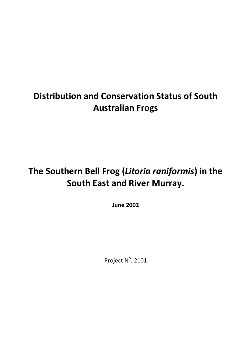# **Distribution and Conservation Status of South Australian Frogs**

# **The Southern Bell Frog (***Litoria raniformis***) in the South East and River Murray.**

**June 2002**

Project N°. 2101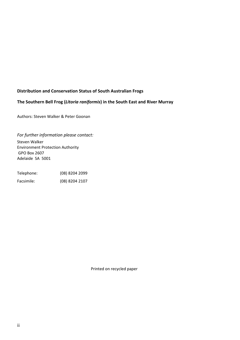# **Distribution and Conservation Status of South Australian Frogs**

#### **The Southern Bell Frog (***Litoria raniformis***) in the South East and River Murray**

Authors: Steven Walker & Peter Goonan

*For further information please contact:* Steven Walker Environment Protection Authority GPO Box 2607 Adelaide SA 5001

| Telephone: | (08) 8204 2099 |
|------------|----------------|
| Facsimile: | (08) 8204 2107 |

Printed on recycled paper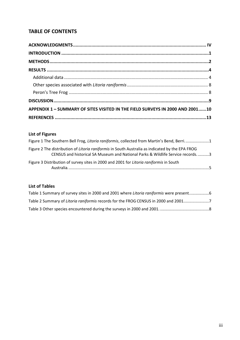# **TABLE OF CONTENTS**

| APPENDIX 1 - SUMMARY OF SITES VISITED IN THE FIELD SURVEYS IN 2000 AND 200110 |  |
|-------------------------------------------------------------------------------|--|
|                                                                               |  |

# **List of Figures**

| Figure 1 The Southern Bell Frog, Litoria raniformis, collected from Martin's Bend, Berri1                                                                                         |  |
|-----------------------------------------------------------------------------------------------------------------------------------------------------------------------------------|--|
| Figure 2 The distribution of Litoria raniformis in South Australia as indicated by the EPA FROG<br>CENSUS and historical SA Museum and National Parks & Wildlife Service records3 |  |
| Figure 3 Distribution of survey sites in 2000 and 2001 for Litoria raniformis in South<br>$\sim$ $\sim$ $\sim$                                                                    |  |

# **List of Tables**

| Table 1 Summary of survey sites in 2000 and 2001 where Litoria raniformis were present |
|----------------------------------------------------------------------------------------|
| Table 2 Summary of Litoria raniformis records for the FROG CENSUS in 2000 and 20017    |
|                                                                                        |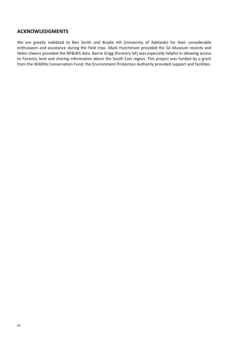# **ACKNOWLEDGMENTS**

We are greatly indebted to Ben Smith and Brydie Hill (University of Adelaide) for their considerable enthusiasm and assistance during the field trips. Mark Hutchinson provided the SA Museum records and Helen Owens provided the NP&WS data. Barrie Grigg (Forestry SA) was especially helpful in allowing access to Forestry land and sharing information about the South East region. This project was funded by a grant from the Wildlife Conservation Fund; the Environment Protection Authority provided support and facilities.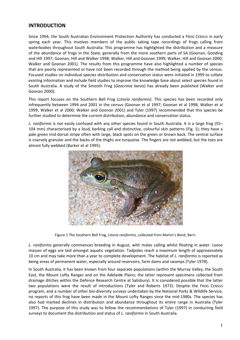## **INTRODUCTION**

Since 1994, the South Australian Environment Protection Authority has conducted a FROG CENSUS in early spring each year. This involves members of the public taking tape recordings of frogs calling from waterbodies throughout South Australia. This programme has highlighted the distribution and a measure of the abundance of frogs in the State, generally from the more southern parts of SA (Goonan, Gooding and Hill 1997; Goonan, Hill and Walker 1998; Walker, Hill and Goonan 1999; Walker, Hill and Goonan 2000; Walker and Goonan 2001). The results from this programme have also highlighted a number of species that are poorly represented or have not been recorded through the method being applied by the census. Focused studies on individual species distribution and conservation status were initiated in 1999 to collate existing information and include field studies to improve the knowledge base about select species found in South Australia. A study of the Smooth Frog (*Geocrinia laevis*) has already been published (Walker and Goonan 2000).

This report focuses on the Southern Bell Frog (*Litoria raniformis*). This species has been recorded only infrequently between 1994 and 2001 in the census (Goonan et al 1997; Goonan et al 1998; Walker et al 1999; Walker et al 2000; Walker and Goonan 2001) and Tyler (1997) recommended that this species be further studied to determine the current distribution, abundance and conservation status.

*L. raniformis* is not easily confused with any other species found in South Australia. It is a large frog (55– 104 mm) characterised by a loud, barking call and distinctive, colourful skin patterns (Fig. 1); they have a pale green mid-dorsal stripe often with large, black spots on the green or brown back. The ventral surface is coarsely granular and the backs of the thighs are turquoise. The fingers are not webbed, but the toes are almost fully webbed (Barker et al 1995).



Figure 1 The Southern Bell Frog, *Litoria raniformis*, collected from Martin's Bend, Berri.

*L. raniformis* generally commences breeding in August, with males calling whilst floating in water. Loose masses of eggs are laid amongst aquatic vegetation. Tadpoles reach a maximum length of approximately 10 cm and may take more than a year to complete development. The habitat of *L. raniformis* is reported as being areas of permanent water, especially around reservoirs, farm dams and swamps (Tyler 1978).

In South Australia, it has been known from four separate populations (within the Murray Valley, the South East, the Mount Lofty Ranges and on the Adelaide Plains; the latter represent specimens collected from drainage ditches within the Defence Research Centre at Salisbury). It is considered possible that the latter two populations were the result of introductions (Tyler and Roberts 1973). Despite the FROG CENSUS program, and a number of other bio-diversity surveys undertaken by the National Parks & Wildlife Service, no reports of this frog have been made in the Mount Lofty Ranges since the mid-1980s. The species has also had marked declines in distribution and abundance throughout its entire range in Australia (Tyler 1997). The purpose of this study was to follow the recommendations of Tyler (1997) in conducting field surveys to document the distribution and status of *L. raniformis* in South Australia.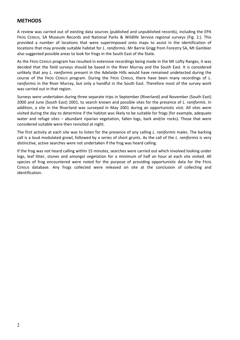#### **METHODS**

A review was carried out of existing data sources (published and unpublished records), including the EPA FROG CENSUS, SA Museum Records and National Parks & Wildlife Service regional surveys (Fig. 2.). This provided a number of locations that were superimposed onto maps to assist in the identification of locations that may provide suitable habitat for *L. raniformis*. Mr Barrie Grigg from Forestry SA, Mt Gambier also suggested possible areas to look for frogs in the South East of the State.

As the FROG CENSUS program has resulted in extensive recordings being made in the Mt Lofty Ranges, it was decided that the field surveys should be based in the River Murray and the South East. It is considered unlikely that any *L. raniformis* present in the Adelaide Hills would have remained undetected during the course of the FROG CENSUS program. During the FROG CENSUS, there have been many recordings of *L. raniformis* in the River Murray, but only a handful in the South East. Therefore most of the survey work was carried out in that region.

Surveys were undertaken during three separate trips in September (Riverland) and November (South East) 2000 and June (South East) 2001, to search known and possible sites for the presence of *L. raniformis*. In addition, a site in the Riverland was surveyed in May 2001 during an opportunistic visit. All sites were visited during the day to determine if the habitat was likely to be suitable for frogs (for example, adequate water and refuge sites – abundant riparian vegetation, fallen logs, bark and/or rocks). Those that were considered suitable were then revisited at night.

The first activity at each site was to listen for the presence of any calling *L. raniformis* males. The barking call is a loud modulated growl, followed by a series of short grunts. As the call of the *L. raniformis* is very distinctive, active searches were not undertaken if the frog was heard calling.

If the frog was not heard calling within 15 minutes, searches were carried out which involved looking under logs, leaf litter, stones and amongst vegetation for a minimum of half an hour at each site visited. All species of frog encountered were noted for the purpose of providing opportunistic data for the FROG CENSUS database. Any frogs collected were released on site at the conclusion of collecting and identification.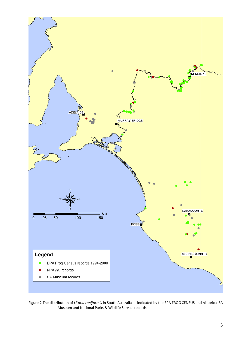

Figure 2 The distribution of *Litoria raniformis* in South Australia as indicated by the EPA FROG CENSUS and historical SA Museum and National Parks & Wildlife Service records.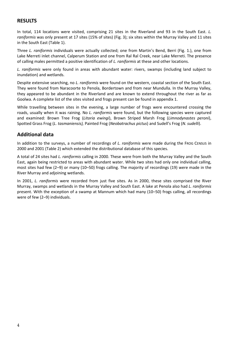# **RESULTS**

In total, 114 locations were visited, comprising 21 sites in the Riverland and 93 in the South East. *L. raniformis* was only present at 17 sites (15% of sites) (Fig. 3); six sites within the Murray Valley and 11 sites in the South East (Table 1).

Three *L. raniformis* individuals were actually collected; one from Martin's Bend, Berri (Fig. 1.), one from Lake Merreti inlet channel, Calperum Station and one from Ral Ral Creek, near Lake Merreti. The presence of calling males permitted a positive identification of *L. raniformis* at these and other locations.

*L. raniformis* were only found in areas with abundant water: rivers, swamps (including land subject to inundation) and wetlands.

Despite extensive searching, no *L. raniformis* were found on the western, coastal section of the South East. They were found from Naracoorte to Penola, Bordertown and from near Mundulla. In the Murray Valley, they appeared to be abundant in the Riverland and are known to extend throughout the river as far as Goolwa. A complete list of the sites visited and frogs present can be found in appendix 1.

While travelling between sites in the evening, a large number of frogs were encountered crossing the roads, usually when it was raining. No *L. raniformis* were found, but the following species were captured and examined: Brown Tree Frog (*Litoria ewingi*), Brown Striped Marsh Frog (*Limnodynastes peroni*), Spotted Grass Frog (*L. tasmaniensis),* Painted Frog (*Neobatrachus pictus*) and Sudell's Frog (*N. sudelli*).

# **Additional data**

In addition to the surveys, a number of recordings of *L. raniformis* were made during the FROG CENSUS in 2000 and 2001 (Table 2) which extended the distributional database of this species.

A total of 24 sites had *L. raniformis* calling in 2000. These were from both the Murray Valley and the South East, again being restricted to areas with abundant water. While two sites had only one individual calling, most sites had few (2–9) or many (10–50) frogs calling. The majority of recordings (19) were made in the River Murray and adjoining wetlands.

In 2001, *L. raniformis* were recorded from just five sites. As in 2000, these sites comprised the River Murray, swamps and wetlands in the Murray Valley and South East. A lake at Penola also had *L. raniformis* present. With the exception of a swamp at Mannum which had many (10–50) frogs calling, all recordings were of few (2–9) individuals.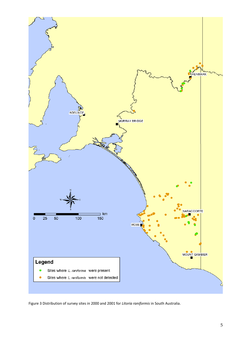

Figure 3 Distribution of survey sites in 2000 and 2001 for *Litoria raniformis* in South Australia.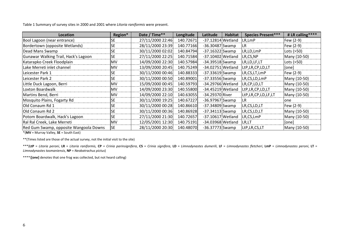Table 1 Summary of survey sites in 2000 and 2001 where *Litoria raniformis* were present.

| Location                               | Region*    | Date / Time**    | Longitude | Latitude            | <b>Habitat</b> | <b>Species Present***</b> | # LR calling**** |
|----------------------------------------|------------|------------------|-----------|---------------------|----------------|---------------------------|------------------|
| Bool Lagoon (near entrance)            | <b>SE</b>  | 27/11/2000 22:46 | 140.72671 | $-37.12814$ Wetland |                | LR, LmP                   | Few (2-9)        |
| Bordertown (opposite Wetlands)         | <b>SE</b>  | 28/11/2000 23:39 | 140.77166 | $-36.30487$ Swamp   |                | <b>LR</b>                 | Few (2-9)        |
| Dead Mans Swamp                        | <b>SE</b>  | 30/11/2000 02:02 | 140.84794 | $-37.16322$ Swamp   |                | LR,LD,LmP                 | Lots (>50)       |
| Gunawar Walking Trail, Hack's Lagoon   | <b>SE</b>  | 27/11/2000 22:25 | 140.71584 | -37.10402 Wetland   |                | LR,CS,NP                  | Many (10-50)     |
| Katarapko Creek Floodplain             | <b>MV</b>  | 14/09/2000 22:30 | 140.57984 | $-34.39518$ Swamp   |                | LR, LD, LF, LT            | Lots (>50)       |
| Lake Merreti inlet channel             | <b>MV</b>  | 13/09/2000 20:45 | 140.75249 | -34.02751 Wetland   |                | LtP,LR,CP,LD,LT           | [one]            |
| Leicester Park 1                       | <b>SE</b>  | 30/11/2000 00:46 | 140.88333 | $-37.33619$ Swamp   |                | LR,CS,LT,LmP              | Few (2-9)        |
| Leicester Park 2                       | <b>SE</b>  | 30/11/2000 00:50 | 140.89001 | $-37.33556$ Swamp   |                | LR,CS,LD,LmP              | Many (10-50)     |
| Little Duck Lagoon, Berri              | <b>MV</b>  | 15/09/2000 00:45 | 140.59793 | -34.29766 Wetland   |                | LR,CP,LD,LT               | Many (10-50)     |
| Loxton Boardwalk                       | <b>MV</b>  | 14/09/2000 23:30 | 140.55800 | $-34.45219$ Wetland |                | LtP,LR,CP,LD,LT           | Many (10-50)     |
| Martins Bend, Berri                    | <b>IMV</b> | 14/09/2000 22:10 | 140.63055 | -34.29370 River     |                | LtP,LR,CP,LD,LF,LT        | Many (10-50)     |
| Mosquito Plains, Fogarty Rd            | <b>SE</b>  | 30/11/2000 19:25 | 140.67227 | $-36.97967$ Swamp   |                | ILR                       | one              |
| Old Conaum Rd 1                        | <b>SE</b>  | 30/11/2000 00:28 | 140.86610 | $-37.34809$ Swamp   |                | LR,CS,LD,LT               | Few (2-9)        |
| Old Conaum Rd 2                        | <b>SE</b>  | 30/11/2000 00:36 | 140.86928 | $-37.34113$ Swamp   |                | LR,CS,LD,LT               | Many (10-50)     |
| Potom Boardwalk, Hack's Lagoon         | <b>SE</b>  | 27/11/2000 21:30 | 140.72657 | -37.10617 Wetland   |                | LR,CS,LmP                 | Many (10-50)     |
| Ral Ral Creek, Lake Merreti            | <b>MV</b>  | 12/05/2001 12:30 | 140.75191 | -34.03968 Wetland   |                | LR,LT                     | [one]            |
| Red Gum Swamp, opposite Wangoola Downs | <b>SE</b>  | 28/11/2000 20:30 | 140.48070 | $-36.37773$ Swamp   |                | LtP,LR,CS,LT              | Many (10-50)     |

\*(**MV** = Murray Valley, **SE** = South East)

\*\*(Times listed are those of the actual survey, not the initial visit to the site)

\*\*\* (LtP = Litoria peroni, LR = Litoria raniformis, CP = Crinia parinsignifera, CS = Crinia signifera, LD = Limnodynastes dumerili, LF = Limnodynastes fletcheri, LmP = Limnodynastes peroni, LT = *Limnodynastes tasmaniensis*, **NP** = *Neobatrachus pictus*)

\*\*\*\*(**[one]** denotes that one frog was collected, but not heard calling)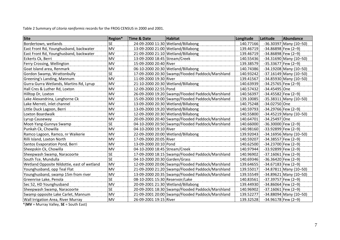Table 2 Summary of *Litoria raniformis* records for the FROG CENSUS in 2000 and 2001.

| <b>Site</b>                                 | Region*   | <b>Time &amp; Date</b>          | <b>Habitat</b>                                   | Longitude | Latitude              | <b>Abundance</b>         |
|---------------------------------------------|-----------|---------------------------------|--------------------------------------------------|-----------|-----------------------|--------------------------|
| Bordertown, wetlands                        | <b>SE</b> |                                 | 24-09-2000 11:30 Wetland/Billabong               | 140.77166 |                       | $-36.30397$ Many (10-50) |
| East Front Rd, Younghusband, backwater      | <b>MV</b> |                                 | 13-09-2000 21:00 Wetland/Billabong               | 139.46719 | $-34.86898$ Few (2-9) |                          |
| East Front Rd, Younghusband, backwater      | <b>MV</b> |                                 | 21-09-2000 21:10 Wetland/Billabong               | 139.46719 | $-34.86898$ Few (2-9) |                          |
| Eckerts Ck, Berri                           | <b>MV</b> | 13-09-2000 18:45 Stream/Creek   |                                                  | 140.55436 |                       | $-34.31690$ Many (10-50) |
| Ferry Crossing, Wellington                  | <b>MV</b> | 15-09-2000 20:40 River          |                                                  | 139.38579 | $-35.33677$ Few (2-9) |                          |
| Goat Island area, Renmark                   | MV        |                                 | 06-10-2000 20:30 Wetland/Billabong               | 140.74386 |                       | $-34.19208$ Many (10-50) |
| Gordon Swamp, Wrattonbully                  | <b>SE</b> |                                 | 17-09-2000 20:30 Swamp/Flooded Paddock/Marshland | 140.93242 |                       | $-37.16149$ Many (10-50) |
| Greening's Landing, Mannum                  | <b>MV</b> | 11-09-2000 19:30 River          |                                                  | 139.41567 |                       | $-34.85930$ Many (10-50) |
| Gurra Gurra Wetlands, Martins Rd, Lyrup     | <b>MV</b> |                                 | 21-10-2000 20:30 Wetland/Billabong               | 140.63939 | $-34.25765$ Few (2-9) |                          |
| Hall Cres & Luther Rd, Loxton               | <b>MV</b> | 12-09-2000 22:55 Pond           |                                                  | 140.57432 | -34.45495 One         |                          |
| Hilltop Dr, Loxton                          | MV        |                                 | 26-09-2000 19:20 Swamp/Flooded Paddock/Marshland | 140.56397 | $-34.45582$ Few (2-9) |                          |
| Lake Alexandrina, Langhorne Ck              | <b>MV</b> |                                 | 15-09-2000 19:00 Swamp/Flooded Paddock/Marshland | 139.10085 |                       | $-35.38311$ Many (10-50) |
| Lake Merreti, inlet channel                 | <b>MV</b> |                                 | 13-09-2000 20:30 Wetland/Billabong               | 140.75248 | -34.02750 One         |                          |
| Little Duck Lagoon, Berri                   | <b>MV</b> |                                 | 13-09-2000 19:20 Wetland/Billabong               | 140.59793 | $-34.29766$ Few (2-9) |                          |
| Loxton Boardwalk                            | <b>MV</b> |                                 | 12-09-2000 20:30 Wetland/Billabong               | 140.55800 |                       | $-34.45219$ Many (10-50) |
| Lyrup Causeway                              | <b>MV</b> |                                 | 20-09-2000 20:40 Swamp/Flooded Paddock/Marshland | 140.64701 | -34.25497 One         |                          |
| Moot-Yang-Gunnya Swamp                      | <b>SE</b> |                                 | 04-10-2000 20:50 Swamp/Flooded Paddock/Marshland | 140.66000 | $-36.30000$ Few (2-9) |                          |
| Punkah Ck, Chowilla                         | <b>MV</b> | 04-10-2000 19:10 River          |                                                  | 140.98160 | $-33.92899$ Few (2-9) |                          |
| Ramco Lagoon, Ramco, nr Waikerie            | MV        |                                 | 22-09-2000 20:00 Wetland/Billabong               | 139.92043 |                       | $-34.16956$ Many (10-50) |
| Rilli Island, Loxton North                  | <b>MV</b> | 17-09-2000 20:05 River          |                                                  | 140.59207 | $-34.38557$ Few (2-9) |                          |
| Santos Evaporation Pond, Berri              | <b>MV</b> | 13-09-2000 20:10 Pond           |                                                  | 140.62500 | $-34.23700$ Few (2-9) |                          |
| Sheepskin Ck, Chowilla                      | <b>MV</b> | 04-10-2000 18:45 Stream/Creek   |                                                  | 140.97944 | $-33.92899$ Few (2-9) |                          |
| Sheepwash Swamp, Naracoorte                 | <b>SE</b> |                                 | 17-09-2000 18:15 Swamp/Flooded Paddock/Marshland | 140.96902 | $-37.16061$ Few (2-9) |                          |
| South Tce, Mundulla                         | <b>SE</b> | 04-10-2000 20:30 Garden/Grass   |                                                  | 140.69346 | $-36.36420$ Few (2-9) |                          |
| Wetland Opposite Nildottie, east of wetland | <b>MV</b> |                                 | 12-09-2000 20:06 Swamp/Flooded Paddock/Marshland | 139.64655 | $-34.67183$ Few (2-9) |                          |
| Younghusband, opp Teal Flat                 | <b>MV</b> |                                 | 21-09-2000 21:20 Swamp/Flooded Paddock/Marshland | 139.55017 |                       | $-34.87811$ Many (10-50) |
| Younghusband, swamp 15m from river          | MV        |                                 | 13-09-2000 20:35 Swamp/Flooded Paddock/Marshland | 139.55549 |                       | $-34.89621$ Many (10-50) |
| Greenrise Lake, Penola                      | <b>SE</b> | 08-10-2001 15:30 Reservoir/Lake |                                                  | 140.83561 | $-37.39757$ Few (2-9) |                          |
| Sec 52, HD Younghusband                     | <b>MV</b> |                                 | 20-09-2001 21:30 Wetland/Billabong               | 139.44930 | $-34.86064$ Few (2-9) |                          |
| Sheepwash Swamp, Naracoorte                 | <b>SE</b> |                                 | 20-09-2001 18:30 Swamp/Flooded Paddock/Marshland | 140.96902 | $-37.16061$ Few (2-9) |                          |
| Swamp opposite Lake Carlet, Mannum          | MV        |                                 | 21-09-2001 20:00 Swamp/Flooded Paddock/Marshland | 139.52277 |                       | $-34.88094$ Many (10-50) |
| Wall Irrigation Area, River Murray          | <b>MV</b> | 26-09-2001 19:15 River          |                                                  | 139.32528 | $-34.96178$ Few (2-9) |                          |

\*(**MV** = Murray Valley, **SE** = South East)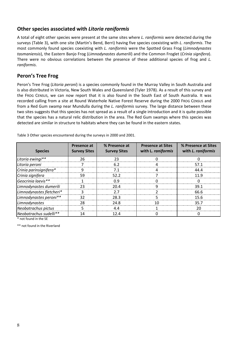#### **Other species associated with** *Litoria raniformis*

A total of eight other species were present at the same sites where *L. raniformis* were detected during the surveys (Table 3), with one site (Martin's Bend, Berri) having five species coexisting with *L. raniformis*. The most commonly found species coexisting with *L. raniformis* were the Spotted Grass Frog (*Limnodynastes tasmaniensis*), the Eastern Banjo Frog (*Limnodynastes dumerili*) and the Common Froglet (*Crinia signifera*). There were no obvious correlations between the presence of these additional species of frog and *L. raniformis*.

# **Peron's Tree Frog**

Peron's Tree Frog (*Litoria peroni*) is a species commonly found in the Murray Valley in South Australia and is also distributed in Victoria, New South Wales and Queensland (Tyler 1978). As a result of this survey and the FROG CENSUS, we can now report that it is also found in the South East of South Australia. It was recorded calling from a site at Round Waterhole Native Forest Reserve during the 2000 FROG CENSUS and from a Red Gum swamp near Mundulla during the *L. raniformis* survey. The large distance between these two sites suggests that this species has not spread as a result of a single introduction and it is quite possible that the species has a natural relic distribution in the area. The Red Gum swamps where this species was detected are similar in structure to habitats where they can be found in the eastern states.

| <b>Species</b>           | Presence at<br><b>Survey Sites</b> | % Presence at<br><b>Survey Sites</b> | <b>Presence at Sites</b><br>with L. raniformis | % Presence at Sites<br>with L. raniformis |
|--------------------------|------------------------------------|--------------------------------------|------------------------------------------------|-------------------------------------------|
| Litoria ewingi**         | 26                                 |                                      |                                                |                                           |
| Litoria peroni           |                                    | 6 Z                                  |                                                | 571                                       |
| Crinia parinsignifera*   |                                    |                                      |                                                |                                           |
| Crinia signifera         | 59                                 | 52.2                                 |                                                | 1 Q                                       |
| Geocrinia laevis**       |                                    | n q                                  |                                                |                                           |
| Limnodynastes dumerili   |                                    |                                      |                                                | วฺด 1                                     |
| Limnodynastes fletcheri* |                                    | 77                                   |                                                | 66.6                                      |
| Limnodynastes peroni**   |                                    | 28.3                                 |                                                | 15.6                                      |
| Limnodynastes            | 28                                 | 24.8                                 |                                                | 35.7                                      |
| Neobatrachus pictus      |                                    | 4.4                                  |                                                |                                           |
| Neobatrachus sudelli**   | 14                                 | 1 2 A                                |                                                |                                           |
| * not found in the SE    |                                    |                                      |                                                |                                           |

Table 3 Other species encountered during the surveys in 2000 and 2001.

\*\* not found in the Riverland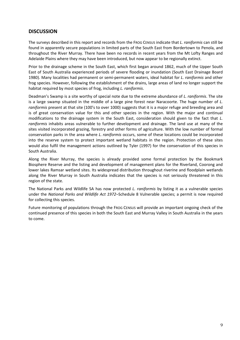# **DISCUSSION**

The surveys described in this report and records from the FROG CENSUS indicate that *L. raniformis* can still be found in apparently secure populations in limited parts of the South East from Bordertown to Penola, and throughout the River Murray. There have been no records in recent years from the Mt Lofty Ranges and Adelaide Plains where they may have been introduced, but now appear to be regionally extinct.

Prior to the drainage scheme in the South East, which first began around 1862, much of the Upper South East of South Australia experienced periods of severe flooding or inundation (South East Drainage Board 1980). Many localities had permanent or semi-permanent waters, ideal habitat for *L. raniformis* and other frog species. However, following the establishment of the drains, large areas of land no longer support the habitat required by most species of frog, including *L. raniformis*.

Deadman's Swamp is a site worthy of special note due to the extreme abundance of *L. raniformis*. The site is a large swamp situated in the middle of a large pine forest near Naracoorte. The huge number of *L. raniformis* present at that site (100's to over 1000) suggests that it is a major refuge and breeding area and is of great conservation value for this and other species in the region. With the major and continual modifications to the drainage system in the South East, consideration should given to the fact that *L. raniformis* inhabits areas vulnerable to further development and drainage. The land use at many of the sites visited incorporated grazing, forestry and other forms of agriculture. With the low number of formal conservation parks in the area where *L. raniformis* occurs, some of these locations could be incorporated into the reserve system to protect important wetland habitats in the region. Protection of these sites would also fulfil the management actions outlined by Tyler (1997) for the conservation of this species in South Australia.

Along the River Murray, the species is already provided some formal protection by the Bookmark Biosphere Reserve and the listing and development of management plans for the Riverland, Coorong and lower lakes Ramsar wetland sites. Its widespread distribution throughout riverine and floodplain wetlands along the River Murray in South Australia indicates that the species is not seriously threatened in this region of the state.

The National Parks and Wildlife SA has now protected *L. raniformis* by listing it as a vulnerable species under the *National Parks and Wildlife Act 1972–*Schedule 8 Vulnerable species; a permit is now required for collecting this species.

Future monitoring of populations through the FROG CENSUS will provide an important ongoing check of the continued presence of this species in both the South East and Murray Valley in South Australia in the years to come.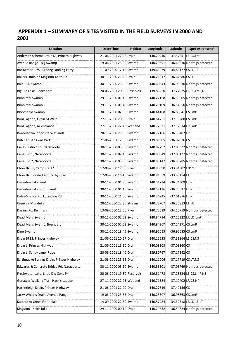# **APPENDIX 1 – SUMMARY OF SITES VISITED IN THE FIELD SURVEYS IN 2000 AND 2001**

| Location                                  | Date/Time                  | <b>Habitat</b> | Longitude | Latitude             | <b>Species Present*</b>     |
|-------------------------------------------|----------------------------|----------------|-----------|----------------------|-----------------------------|
| Anderson Scheme Drain M, Princes Highway  | 21-06-2001 22:42 Drain     |                | 140.20940 | -37.37251 LE,CS,LmP  |                             |
| Avenue Range - Big Swamp                  | 19-06-2001 23:00 Swamp     |                | 140.20691 |                      | -36.65210 No frogs detected |
| Backwater, D/S Purnong Landing Ferry      | 11-09-2000 17:15 Swamp     |                | 139.61079 | -34.85177 CS, LD, LT |                             |
| Bakers Drain on Kingston-Keith Rd         | 30-11-2000 21:20 Drain     |                | 140.21017 | $-36.64686$ CS, LD   |                             |
| Bald Hill, Swamp                          | 30-11-2000 23:55 Swamp     |                | 140.60643 |                      | -36.90830 No frogs detected |
| Big Dip Lake, Beachport                   | 20-06-2001 20:00 Reservoir |                | 139.83250 |                      | -37.27925 LE,CS,LmP,NS      |
| Bimbimbi Swamp                            | 29-11-2000 01:15 Swamp     |                | 140.27168 |                      | -36.53005 No frogs detected |
| Bimbimbi Swamp 2                          | 29-11-2000 01:45 Swamp     |                | 140.29109 |                      | -36.54550 No frogs detected |
| <b>Bloomfield Swamp</b>                   | 30-11-2000 02:30 Swamp     |                | 140.44108 | -36.86941 CS,LmP     |                             |
| Bool Lagoon, Drain M Weir                 | 27-11-2000 20:30 Drain     |                | 140.64751 | -37.15288 CS,LmP     |                             |
| Bool Lagoon, nr entrance                  | 27-11-2000 22:46 Wetland   |                | 140.72671 | -37.12814 LR, LmP    |                             |
| Bordertown, opposite Wetlands             | 28-11-2000 23:39 Swamp     |                | 140.77166 | $-36.30487$ LR       |                             |
| <b>Butcher Gap Cons Park</b>              | 21-06-2001 12:30 Swamp     |                | 139.81505 | $-36.87976$ CS       |                             |
| Caves District Rd, Naracoorte             | 30-11-2000 03:30 Swamp     |                | 140.82792 |                      | -37.05322 No frogs detected |
| Caves Rd 1, Naracoorte                    | 30-11-2000 02:45 Swamp     |                | 140.80049 |                      | -37.03127 No frogs detected |
| Caves Rd 2, Naracoorte                    | 30-11-2000 03:00 Swamp     |                | 140.83147 |                      | -36.99785 No frogs detected |
| Chowilla Ck, Campsite 17                  | 12-09-2000 17:50 River     |                | 140.88590 | -33.94902 LtP,CP     |                             |
| Chowilla, flooded ground by road          | 12-09-2000 16:10 Swamp     |                | 140.81559 | $-33.98154$ LT       |                             |
| Cockatoo Lake, east                       | 30-11-2000 01:30 Swamp     |                | 140.51734 | -36.74309 LmP        |                             |
| Cockatoo Lake, south west                 | 30-11-2000 01:15 Swamp     |                | 140.57136 | -36.75537 LmP        |                             |
| Coles-Spence Rd, Lucindale Rd             | 30-11-2000 21:00 Swamp     |                | 140.46945 | -37.01876 LmP        |                             |
| Creek nr Mundulla                         | 28-11-2000 22:30 Stream    |                | 140.73707 | $-36.36813$ LT, NS   |                             |
| Darling Rd, Renmark                       | 13-09-2000 13:56 River     |                | 140.72619 |                      | -34.10759 No frogs detected |
| Dead Mans Swamp                           | 30-11-2000 02:02 Swamp     |                | 140.84794 |                      | -37.16322 LR, LD, LmP       |
| Dead Mans Swamp, Boundary                 | 30-11-2000 02:02 Swamp     |                | 140.84267 | $-37.14371$ CS, LmP  |                             |
| Dine Swamp                                | 30-11-2000 18:45 Swamp     |                | 140.91013 | -36.95685 CS,LmP     |                             |
| Drain BF33, Princes Highway               | 21-06-2001 20:57 Drain     |                | 140.15533 | -37.31864 LE,CS,NS   |                             |
| Drain L, Princes Highway                  | 21-06-2001 13:10 Drain     |                | 140.08303 | $-37.08360$ CS       |                             |
| Drain L, Sandy Lane, Robe                 | 20-06-2001 18:40 Drain     |                | 139.80767 | $-37.17142$ CS       |                             |
| Earthquake Springs Drain, Princes Highway | 21-06-2001 23:15 Drain     |                | 140.11006 | -37.17719 CS, LT, NS |                             |
| Edwards & Concrete Bridge Rd, Naracoorte  | 30-11-2000 03:10 Swamp     |                | 140.86501 |                      | -37.06769 No frogs detected |
| Freshwater Lake, Little Dip Cons Pk       | 20-06-2001 19:30 Reservoir |                | 139.81478 |                      | -37.25834 LE,CS,LmP,NS      |
| Gunawar Walking Trail, Hack's Lagoon      | 27-11-2000 22:25 Wetland   |                | 140.71584 | -37.10402 LR,CS,NP   |                             |
| Hatherleigh Drain, Princes Highway        | 21-06-2001 22:20 Drain     |                | 140.27319 | $-37.49156$ CS       |                             |
| Jacky White's Drain, Avenue Range         | 19-06-2001 23:53 Drain     |                | 140.25307 | -36.95363 CS,LmP     |                             |
| Katarapko Creek Floodplain                | 14-09-2000 22:30 Swamp     |                | 140.57984 |                      | -34.39518 LR, LD, LF, LT    |
| Kingston - Keith Rd 1                     | 29-11-2000 00:10 Drain     |                | 140.29832 |                      | -36.54824 No frogs detected |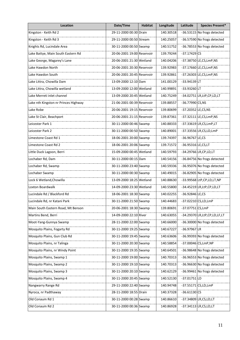| Location                             | Date/Time                  | <b>Habitat</b> | Longitude | Latitude           | <b>Species Present*</b>           |
|--------------------------------------|----------------------------|----------------|-----------|--------------------|-----------------------------------|
| Kingston - Keith Rd 2                | 29-11-2000 00:30 Drain     |                | 140.30518 |                    | -36.53115 No frogs detected       |
| Kingston - Keith Rd 3                | 29-11-2000 00:50 Stream    |                | 140.25057 |                    | -36.57590 No frogs detected       |
| Knights Rd, Lucindale Area           | 30-11-2000 00:50 Swamp     |                | 140.51752 |                    | -36.78553 No frogs detected       |
| Lake Battye, Main South Eastern Rd   | 20-06-2001 19:00 Reservoir |                | 139.79244 | $-37.17429$ CS     |                                   |
| Lake George, Magarey's Lane          | 20-06-2001 21:30 Wetland   |                | 140.04206 |                    | -37.38750 LE, CS, LmP, NS         |
| Lake Hawdon North                    | 20-06-2001 20:30 Reservoir |                | 139.92983 |                    | -37.17660 LE,CS, LmP, NS          |
| Lake Hawdon South                    | 20-06-2001 20:45 Reservoir |                | 139.92861 |                    | -37.26303 LE, CS, LmP, NS         |
| Lake Littra, Chowilla Dam            | 13-09-2000 12:10 Dam       |                | 141.00129 | -33.94139 LT       |                                   |
| Lake Littra, Chowilla wetland        | 13-09-2000 12:00 Wetland   |                | 140.99891 | -33.93260 LT       |                                   |
| Lake Merreti inlet channel           | 13-09-2000 20:45 Wetland   |                | 140.75249 |                    | -34.02751 LR, LtP, CP, LD, LT     |
| Lake nth Kingston nr Princes Highway | 21-06-2001 00:39 Reservoir |                | 139.88557 | -36.77990 CS, NS   |                                   |
| Lake Robe                            | 20-06-2001 19:15 Reservoir |                | 139.80699 | -37.20352 LE,CS,NS |                                   |
| Lake St Clair, Beachport             | 20-06-2001 21:15 Reservoir |                | 139.87361 |                    | -37.32111 LE, CS, LmP, NS         |
| Leicester Park 1                     | 30-11-2000 00:46 Swamp     |                | 140.88333 |                    | -37.33619 LR, CS, LmP, LT         |
| Leicester Park 2                     | 30-11-2000 00:50 Swamp     |                | 140.89001 |                    | -37.33556 LR, CS, LD, LmP         |
| Limestone Coast Rd 1                 | 18-06-2001 20:00 Swamp     |                | 139.74397 | $-36.96767$ LE,CS  |                                   |
| Limestone Coast Rd 2                 | 18-06-2001 20:06 Swamp     |                | 139.71572 | -36.95316 LE,CS,LT |                                   |
| Little Duck Lagoon, Berri            | 15-09-2000 00:45 Wetland   |                | 140.59793 |                    | -34.29766 LR, CP, LD, LT          |
| Lochaber Rd, Dam                     | 30-11-2000 00:15 Dam       |                | 140.54156 |                    | -36.84756 No frogs detected       |
| Lochaber Rd, Swamp                   | 30-11-2000 23:40 Swamp     |                | 140.59336 |                    | -36.95076 No frogs detected       |
| Lochaber Swamp                       | 30-11-2000 00:30 Swamp     |                | 140.49015 |                    | -36.82905 No frogs detected       |
| Lock 6 Wetland, Chowilla             | 13-09-2000 18:25 Wetland   |                | 140.88630 |                    | -33.99568 LtP,CP,LD,LT,NP         |
| Loxton Boardwalk                     | 14-09-2000 23:30 Wetland   |                | 140.55800 |                    | -34.45219 LR, LtP, CP, LD, LT     |
| Lucindale Rd / Blackford Rd          | 18-06-2001 18:30 Swamp     |                | 140.02255 | $-36.92846$ LE,CS  |                                   |
| Lucindale Rd, nr Katani Park         | 30-11-2000 21:50 Swamp     |                | 140.44683 |                    | -37.02210 CS,LD,LmP               |
| Main South Eastern Road, Mt Benson   | 20-06-2001 18:30 Swamp     |                | 139.80691 | -37.07751 CS,LmP   |                                   |
| Martins Bend, Berri                  | 14-09-2000 22:10 River     |                | 140.63055 |                    | -34.29370 LR, LtP, CP, LD, LF, LT |
| Moot-Yang-Gunnya Swamp               | 28-11-2000 22:00 Swamp     |                | 140.66000 |                    | -36.30000 No frogs detected       |
| Mosquito Plains, Fogarty Rd          | 30-11-2000 19:25 Swamp     |                | 140.67227 | $-36.97967$ LR     |                                   |
| Mosquito Plains, Gun Club Rd         | 30-11-2000 19:45 Swamp     |                | 140.63606 |                    | -36.99393 No frogs detected       |
| Mosquito Plains, nr Talinga          | 30-11-2000 20:30 Swamp     |                | 140.58854 |                    | -37.00046 CS, LmP, NP             |
| Mosquito Plains, nr Windy Point      | 30-11-2000 19:35 Swamp     |                | 140.64501 |                    | -36.98648 No frogs detected       |
| Mosquito Plains, Swamp 1             | 30-11-2000 19:00 Swamp     |                | 140.70313 |                    | -36.96553 No frogs detected       |
| Mosquito Plains, Swamp 2             | 30-11-2000 19:10 Swamp     |                | 140.70313 |                    | -36.96630 No frogs detected       |
| Mosquito Plains, Swamp 3             | 30-11-2000 20:10 Swamp     |                | 140.62129 |                    | -36.99461 No frogs detected       |
| Mosquito Plains, Swamp 4             | 30-11-2000 20:45 Swamp     |                | 140.52130 | $-37.01751$ LD     |                                   |
| Nangwarry Range Rd                   | 29-11-2000 22:40 Swamp     |                | 140.94748 |                    | -37.55171 CS,LD,LmP               |
| Nyroca, nr Padthaway                 | 28-11-2000 18:55 Drain     |                | 140.37328 | $-36.61130$ CS     |                                   |
| Old Conaum Rd 1                      | 30-11-2000 00:28 Swamp     |                | 140.86610 |                    | -37.34809 LR, CS, LD, LT          |
| Old Conaum Rd 2                      | 30-11-2000 00:36 Swamp     |                | 140.86928 |                    | $-37.34113$ LR, CS, LD, LT        |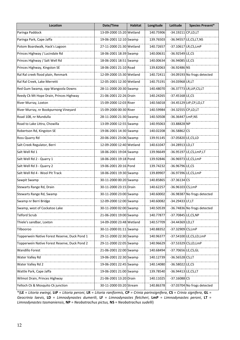| Location                                      | Date/Time                | <b>Habitat</b> | Longitude | Latitude             | <b>Species Present*</b>     |
|-----------------------------------------------|--------------------------|----------------|-----------|----------------------|-----------------------------|
| Paringa Paddock                               | 13-09-2000 15:20 Wetland |                | 140.75906 | -34.19211 CP, LD, LT |                             |
| Paringa Park, Cape Jaffa                      | 19-06-2001 12:10 Swamp   |                | 139.76503 |                      | -36.94557 LE, CS, LT, NS    |
| Potom Boardwalk, Hack's Lagoon                | 27-11-2000 21:30 Wetland |                | 140.72657 |                      | -37.10617 LR, CS, LmP       |
| Princes Highway / Lucindale Rd                | 18-06-2001 18:39 Swamp   |                | 140.00631 | $-36.92549$ LE,CS    |                             |
| Princes Highway / Salt Well Rd                | 18-06-2001 18:51 Swamp   |                | 140.00634 | -36.94085 LE,CS      |                             |
| Princes Highway, Kingston SE                  | 18-06-2001 21:10 Road    |                | 139.82063 | -36.92486 NS         |                             |
| Ral Ral creek flood plain, Renmark            | 12-09-2000 15:30 Wetland |                | 140.72411 |                      | -34.09193 No frogs detected |
| Ral Ral Creek, Lake Merretti                  | 12-05-2001 12:30 Wetland |                | 140.75191 | -34.03968 LR,LT      |                             |
| Red Gum Swamp, opp Wangoola Downs             | 28-11-2000 20:30 Swamp   |                | 140.48070 |                      | -36.37773 LR, LtP, CS, LT   |
| Reedy Ck Mt Hope Drain, Princes Highway       | 21-06-2001 22:26 Drain   |                | 140.24265 | $-37.45168$ LE,CS    |                             |
| River Murray, Loxton                          | 15-09-2000 12:03 River   |                | 140.56018 |                      | -34.45129 LtP,CP,LD,LT      |
| River Murray, nr Bookpurnong Vineyard         | 15-09-2000 00:30 River   |                | 140.59984 | -34.32555 CP, LD, LT |                             |
| Road 108, nr Mundulla                         | 28-11-2000 21:30 Swamp   |                | 140.50508 | -36.36447 LmP, NS    |                             |
| Road to Lake Littra, Chowilla                 | 13-09-2000 12:55 Swamp   |                | 140.95063 | $-33.88828$ NP       |                             |
| Robertson Rd, Kingston SE                     | 19-06-2001 14:30 Swamp   |                | 140.02208 | $-36.58862$ CS       |                             |
| Ross Quarry Rd                                | 20-06-2001 23:06 Swamp   |                | 139.91145 | -37.05820 LE,CS,LD   |                             |
| Salt Creek Regulator, Berri                   | 12-09-2000 12:40 Wetland |                | 140.61047 | $-34.28913$ LD, LT   |                             |
| Salt Well Rd 1                                | 18-06-2001 19:04 Swamp   |                | 139.96649 |                      | -36.95197 LE,CS, LmP, LT    |
| Salt Well Rd 2 - Quarry 1                     | 18-06-2001 19:18 Pond    |                | 139.92846 |                      | -36.96973 LE,CS,LmP         |
| Salt Well Rd 3 - Quarry 2                     | 19-06-2001 20:16 Pond    |                | 139.74232 | -36.96796 LE,CS      |                             |
| Salt Well Rd 4 - Wool Pit Track               | 18-06-2001 19:30 Swamp   |                | 139.89907 |                      | -36.97396 LE,CS,LmP         |
| Sawpit Swamp                                  | 30-11-2000 00:20 Swamp   |                | 140.85865 | $-37.36134$ CS       |                             |
| Stewarts Range Rd, Drain                      | 30-11-2000 23:15 Drain   |                | 140.62257 | -36.96103 CS,LmP     |                             |
| Stewarts Range Rd, Swamp                      | 30-11-2000 23:00 Swamp   |                | 140.60002 |                      | -36.98387 No frogs detected |
| Swamp nr Berri Bridge                         | 12-09-2000 12:00 Swamp   |                | 140.60082 | $-34.29433$ LF, LT   |                             |
| Swamp, west of Cockatoo Lake                  | 30-11-2000 02:00 Swamp   |                | 140.50539 |                      | -36.74836 No frogs detected |
| <b>Telford Scrub</b>                          | 21-06-2001 19:00 Swamp   |                | 140.77877 | -37.70845 LE,CS,NP   |                             |
| Thiele's sandbar, Loxton                      | 14-09-2000 23:48 Wetland |                | 140.57709 | -34.44369 LD,LT      |                             |
| Tilbooroo                                     | 30-11-2000 01:11 Swamp   |                | 140.88352 | -37.32909 CS,LmP     |                             |
| Topperwein Native Forest Reserve, Duck Pond 1 | 29-11-2000 22:30 Swamp   |                | 140.96377 |                      | -37.54100 LE,CS,LD,LmP      |
| Topperwein Native Forest Reserve, Duck Pond 2 | 29-11-2000 22:05 Swamp   |                | 140.96629 |                      | -37.53329 CS,LD,LmP         |
| <b>Wandillo Forest</b>                        | 21-06-2001 22:00 Swamp   |                | 140.68494 | -37.70656 LE,CS,GL   |                             |
| Water Valley Rd                               | 19-06-2001 22:30 Swamp   |                | 140.12739 | $-36.56528$ CS, LT   |                             |
| Water Valley Rd 2                             | 19-06-2001 22:45 Swamp   |                | 140.14080 | $-36.58022$ LE,CS    |                             |
| Wattle Park, Cape Jaffa                       | 19-06-2001 21:00 Swamp   |                | 139.78540 | -36.94413 LE,CS,LT   |                             |
| Wilmot Drain, Princes Highway                 | 21-06-2001 13:20 Drain   |                | 140.11025 | $-37.16088$ CS       |                             |
| Yelloch Ck & Mosquito Ck junction             | 30-11-2000 03:20 Stream  |                | 140.86378 |                      | -37.03704 No frogs detected |

\*(**LE** = *Litoria ewingi,* **LtP** = *Litoria peroni*, **LR** = *Litoria raniformis,* **CP** *= Crinia parinsignifera*, **CS** = *Crinia signifera*, **GL** = *Geocrinia laevis*, **LD** = *Limnodynastes dumerili*, **LF** = *Limnodynastes fletcheri*, **LmP** = *Limnodynastes peroni*, **LT** = *Limnodynastes tasmaniensis*, **NP** = *Neobatrachus pictus,* **NS** = *Neobatrachus sudelli*)